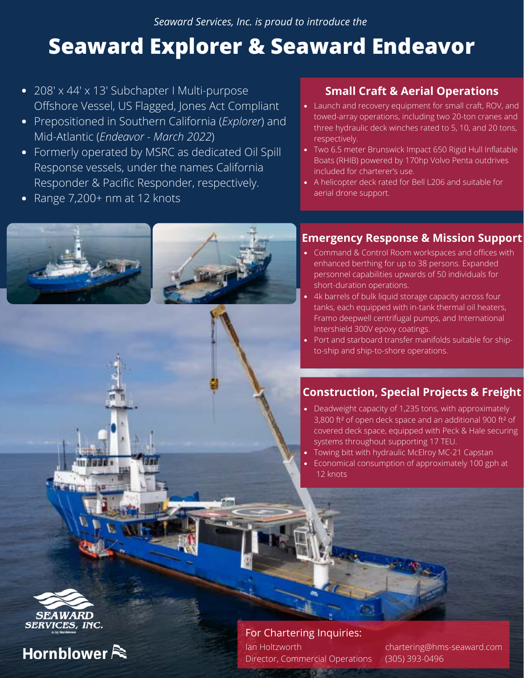*Seaward Services, Inc. is proud to introduce the*

## **Seaward Explorer & Seaward Endeavor**

- 208' x 44' x 13' Subchapter I Multi-purpose Offshore Vessel, US Flagged, Jones Act Compliant
- Prepositioned in Southern California (*Explorer*) and Mid-Atlantic (*Endeavor - March 2022*)
- Formerly operated by MSRC as dedicated Oil Spill Response vessels, under the names California Responder & Pacific Responder, respectively.
- Range 7,200+ nm at 12 knots

#### **Small Craft & Aerial Operations**

- Launch and recovery equipment for small craft, ROV, and towed-array operations, including two 20-ton cranes and three hydraulic deck winches rated to 5, 10, and 20 tons, respectively.
- Two 6.5 meter Brunswick Impact 650 Rigid Hull Inflatable Boats (RHIB) powered by 170hp Volvo Penta outdrives included for charterer's use.
- A helicopter deck rated for Bell L206 and suitable for aerial drone support.

#### **Emergency Response & Mission Support**

- Command & Control Room workspaces and offices with enhanced berthing for up to 38 persons. Expanded personnel capabilities upwards of 50 individuals for short-duration operations.
- 4k barrels of bulk liquid storage capacity across four tanks, each equipped with in-tank thermal oil heaters, Framo deepwell centrifugal pumps, and International Intershield 300V epoxy coatings.
- Port and starboard transfer manifolds suitable for shipto-ship and ship-to-shore operations.

#### **Construction, Special Projects & Freight**

- Deadweight capacity of 1,235 tons, with approximately 3,800 ft² of open deck space and an additional 900 ft² of covered deck space, equipped with Peck & Hale securing systems throughout supporting 17 TEU.
- Towing bitt with hydraulic McElroy MC-21 Capstan
- Economical consumption of approximately 100 gph at 12 knots



For Chartering Inquiries: Ian Holtzworth Director, Commercial Operations

chartering@hms-seaward.com (305) 393-0496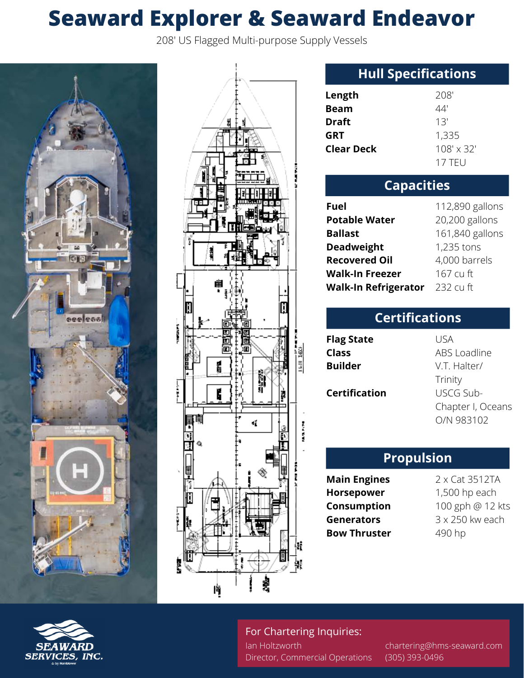# **Seaward Explorer & Seaward Endeavor**

208' US Flagged Multi-purpose Supply Vessels





### **Hull Specifications**

| Length            | 208'              |
|-------------------|-------------------|
| Beam              | 44'               |
| Draft             | 13'               |
| GRT               | 1,335             |
| <b>Clear Deck</b> | $108' \times 32'$ |
|                   | $17$ TFU          |

| <b>Capacities</b>           |                 |  |
|-----------------------------|-----------------|--|
| <b>Fuel</b>                 | 112,890 gallons |  |
| <b>Potable Water</b>        | 20,200 gallons  |  |
| <b>Ballast</b>              | 161,840 gallons |  |
| <b>Deadweight</b>           | 1,235 tons      |  |
| <b>Recovered Oil</b>        | 4,000 barrels   |  |
| <b>Walk-In Freezer</b>      | 167 cu ft       |  |
| <b>Walk-In Refrigerator</b> | 232 cu ft       |  |

| <b>Certifications</b> |                                 |  |
|-----------------------|---------------------------------|--|
| <b>Flag State</b>     | USA                             |  |
| Class                 | ABS Loadline                    |  |
| <b>Builder</b>        | V.T. Halter/                    |  |
|                       | Trinity                         |  |
| <b>Certification</b>  | USCG Sub-                       |  |
|                       | Chapter I, Oceans<br>O/N 983102 |  |

#### **Propulsion**

- **Main Engines Horsepower Consumption Generators Bow Thruster**
- 2 x Cat 3512TA 1,500 hp each 100 gph @ 12 kts 3 x 250 kw each 490 hp

#### For Chartering Inquiries:

Ian Holtzworth Director, Commercial Operations

chartering@hms-seaward.com (305) 393-0496